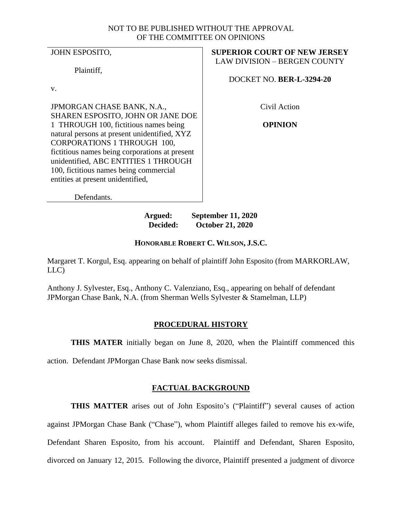## NOT TO BE PUBLISHED WITHOUT THE APPROVAL OF THE COMMITTEE ON OPINIONS

JOHN ESPOSITO,

Plaintiff,

v.

JPMORGAN CHASE BANK, N.A., SHAREN ESPOSITO, JOHN OR JANE DOE 1 THROUGH 100, fictitious names being natural persons at present unidentified, XYZ CORPORATIONS 1 THROUGH 100, fictitious names being corporations at present unidentified, ABC ENTITIES 1 THROUGH 100, fictitious names being commercial entities at present unidentified,

**SUPERIOR COURT OF NEW JERSEY** LAW DIVISION – BERGEN COUNTY

DOCKET NO. **BER-L-3294-20**

Civil Action

**OPINION**

Defendants.

**Argued: September 11, 2020 Decided: October 21, 2020**

# **HONORABLE ROBERT C. WILSON, J.S.C.**

Margaret T. Korgul, Esq. appearing on behalf of plaintiff John Esposito (from MARKORLAW, LLC)

Anthony J. Sylvester, Esq., Anthony C. Valenziano, Esq., appearing on behalf of defendant JPMorgan Chase Bank, N.A. (from Sherman Wells Sylvester & Stamelman, LLP)

# **PROCEDURAL HISTORY**

**THIS MATER** initially began on June 8, 2020, when the Plaintiff commenced this

action. Defendant JPMorgan Chase Bank now seeks dismissal.

# **FACTUAL BACKGROUND**

**THIS MATTER** arises out of John Esposito's ("Plaintiff") several causes of action

against JPMorgan Chase Bank ("Chase"), whom Plaintiff alleges failed to remove his ex-wife,

Defendant Sharen Esposito, from his account. Plaintiff and Defendant, Sharen Esposito,

divorced on January 12, 2015. Following the divorce, Plaintiff presented a judgment of divorce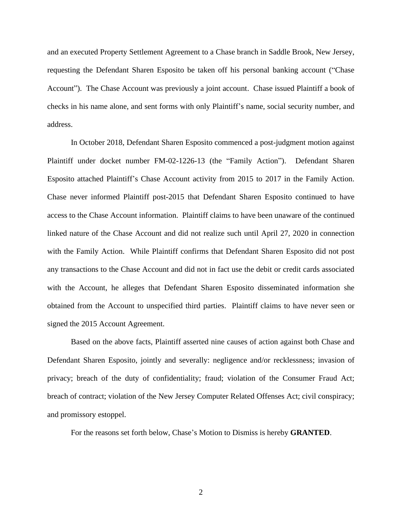and an executed Property Settlement Agreement to a Chase branch in Saddle Brook, New Jersey, requesting the Defendant Sharen Esposito be taken off his personal banking account ("Chase Account"). The Chase Account was previously a joint account. Chase issued Plaintiff a book of checks in his name alone, and sent forms with only Plaintiff's name, social security number, and address.

In October 2018, Defendant Sharen Esposito commenced a post-judgment motion against Plaintiff under docket number FM-02-1226-13 (the "Family Action"). Defendant Sharen Esposito attached Plaintiff's Chase Account activity from 2015 to 2017 in the Family Action. Chase never informed Plaintiff post-2015 that Defendant Sharen Esposito continued to have access to the Chase Account information. Plaintiff claims to have been unaware of the continued linked nature of the Chase Account and did not realize such until April 27, 2020 in connection with the Family Action. While Plaintiff confirms that Defendant Sharen Esposito did not post any transactions to the Chase Account and did not in fact use the debit or credit cards associated with the Account, he alleges that Defendant Sharen Esposito disseminated information she obtained from the Account to unspecified third parties. Plaintiff claims to have never seen or signed the 2015 Account Agreement.

Based on the above facts, Plaintiff asserted nine causes of action against both Chase and Defendant Sharen Esposito, jointly and severally: negligence and/or recklessness; invasion of privacy; breach of the duty of confidentiality; fraud; violation of the Consumer Fraud Act; breach of contract; violation of the New Jersey Computer Related Offenses Act; civil conspiracy; and promissory estoppel.

For the reasons set forth below, Chase's Motion to Dismiss is hereby **GRANTED**.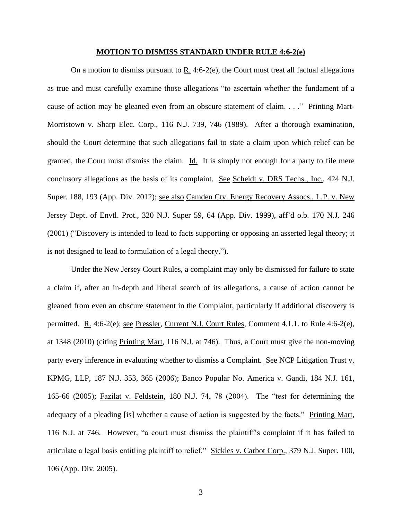#### **MOTION TO DISMISS STANDARD UNDER RULE 4:6-2(e)**

On a motion to dismiss pursuant to R. 4:6-2(e), the Court must treat all factual allegations as true and must carefully examine those allegations "to ascertain whether the fundament of a cause of action may be gleaned even from an obscure statement of claim. . . ." Printing Mart-Morristown v. Sharp Elec. Corp., 116 N.J. 739, 746 (1989). After a thorough examination, should the Court determine that such allegations fail to state a claim upon which relief can be granted, the Court must dismiss the claim. Id. It is simply not enough for a party to file mere conclusory allegations as the basis of its complaint. See Scheidt v. DRS Techs., Inc., 424 N.J. Super. 188, 193 (App. Div. 2012); see also Camden Cty. Energy Recovery Assocs., L.P. v. New Jersey Dept. of Envtl. Prot., 320 N.J. Super 59, 64 (App. Div. 1999), aff'd o.b. 170 N.J. 246 (2001) ("Discovery is intended to lead to facts supporting or opposing an asserted legal theory; it is not designed to lead to formulation of a legal theory.").

Under the New Jersey Court Rules, a complaint may only be dismissed for failure to state a claim if, after an in-depth and liberal search of its allegations, a cause of action cannot be gleaned from even an obscure statement in the Complaint, particularly if additional discovery is permitted. R. 4:6-2(e); <u>see Pressler, Current N.J. Court Rules</u>, Comment 4.1.1. to Rule 4:6-2(e), at 1348 (2010) (citing Printing Mart, 116 N.J. at 746). Thus, a Court must give the non-moving party every inference in evaluating whether to dismiss a Complaint. See NCP Litigation Trust v. KPMG, LLP, 187 N.J. 353, 365 (2006); Banco Popular No. America v. Gandi, 184 N.J. 161, 165-66 (2005); Fazilat v. Feldstein, 180 N.J. 74, 78 (2004). The "test for determining the adequacy of a pleading [is] whether a cause of action is suggested by the facts." Printing Mart, 116 N.J. at 746. However, "a court must dismiss the plaintiff's complaint if it has failed to articulate a legal basis entitling plaintiff to relief." Sickles v. Carbot Corp., 379 N.J. Super. 100, 106 (App. Div. 2005).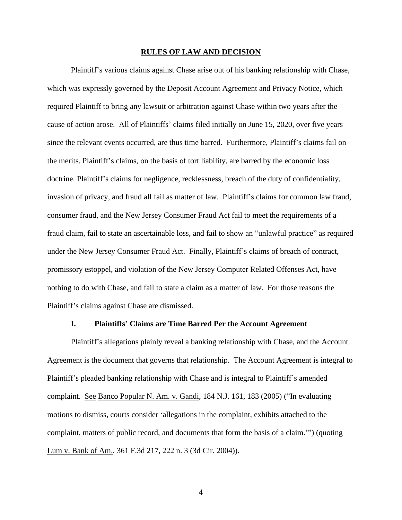#### **RULES OF LAW AND DECISION**

Plaintiff's various claims against Chase arise out of his banking relationship with Chase, which was expressly governed by the Deposit Account Agreement and Privacy Notice, which required Plaintiff to bring any lawsuit or arbitration against Chase within two years after the cause of action arose. All of Plaintiffs' claims filed initially on June 15, 2020, over five years since the relevant events occurred, are thus time barred. Furthermore, Plaintiff's claims fail on the merits. Plaintiff's claims, on the basis of tort liability, are barred by the economic loss doctrine. Plaintiff's claims for negligence, recklessness, breach of the duty of confidentiality, invasion of privacy, and fraud all fail as matter of law. Plaintiff's claims for common law fraud, consumer fraud, and the New Jersey Consumer Fraud Act fail to meet the requirements of a fraud claim, fail to state an ascertainable loss, and fail to show an "unlawful practice" as required under the New Jersey Consumer Fraud Act. Finally, Plaintiff's claims of breach of contract, promissory estoppel, and violation of the New Jersey Computer Related Offenses Act, have nothing to do with Chase, and fail to state a claim as a matter of law. For those reasons the Plaintiff's claims against Chase are dismissed.

## **I. Plaintiffs' Claims are Time Barred Per the Account Agreement**

Plaintiff's allegations plainly reveal a banking relationship with Chase, and the Account Agreement is the document that governs that relationship. The Account Agreement is integral to Plaintiff's pleaded banking relationship with Chase and is integral to Plaintiff's amended complaint. See Banco Popular N. Am. v. Gandi, 184 N.J. 161, 183 (2005) ("In evaluating motions to dismiss, courts consider 'allegations in the complaint, exhibits attached to the complaint, matters of public record, and documents that form the basis of a claim.'") (quoting Lum v. Bank of Am., 361 F.3d 217, 222 n. 3 (3d Cir. 2004)).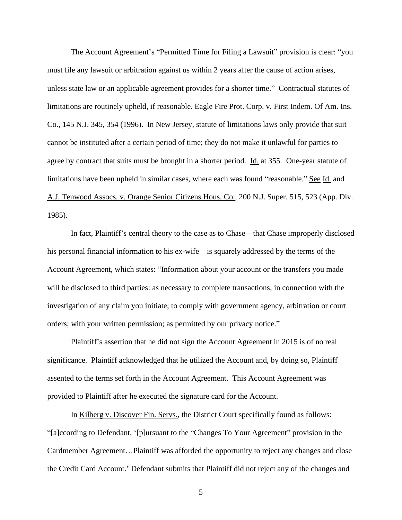The Account Agreement's "Permitted Time for Filing a Lawsuit" provision is clear: "you must file any lawsuit or arbitration against us within 2 years after the cause of action arises, unless state law or an applicable agreement provides for a shorter time." Contractual statutes of limitations are routinely upheld, if reasonable. Eagle Fire Prot. Corp. v. First Indem. Of Am. Ins. Co., 145 N.J. 345, 354 (1996). In New Jersey, statute of limitations laws only provide that suit cannot be instituted after a certain period of time; they do not make it unlawful for parties to agree by contract that suits must be brought in a shorter period. Id. at 355. One-year statute of limitations have been upheld in similar cases, where each was found "reasonable." See Id. and A.J. Tenwood Assocs. v. Orange Senior Citizens Hous. Co., 200 N.J. Super. 515, 523 (App. Div. 1985).

In fact, Plaintiff's central theory to the case as to Chase—that Chase improperly disclosed his personal financial information to his ex-wife—is squarely addressed by the terms of the Account Agreement, which states: "Information about your account or the transfers you made will be disclosed to third parties: as necessary to complete transactions; in connection with the investigation of any claim you initiate; to comply with government agency, arbitration or court orders; with your written permission; as permitted by our privacy notice."

Plaintiff's assertion that he did not sign the Account Agreement in 2015 is of no real significance. Plaintiff acknowledged that he utilized the Account and, by doing so, Plaintiff assented to the terms set forth in the Account Agreement. This Account Agreement was provided to Plaintiff after he executed the signature card for the Account.

In Kilberg v. Discover Fin. Servs., the District Court specifically found as follows: "[a]ccording to Defendant, '[p]ursuant to the "Changes To Your Agreement" provision in the Cardmember Agreement…Plaintiff was afforded the opportunity to reject any changes and close the Credit Card Account.' Defendant submits that Plaintiff did not reject any of the changes and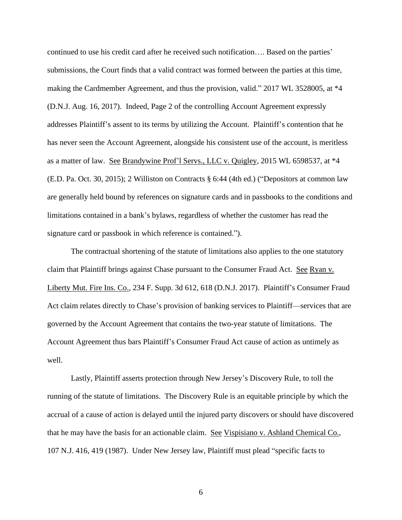continued to use his credit card after he received such notification…. Based on the parties' submissions, the Court finds that a valid contract was formed between the parties at this time, making the Cardmember Agreement, and thus the provision, valid." 2017 WL 3528005, at \*4 (D.N.J. Aug. 16, 2017). Indeed, Page 2 of the controlling Account Agreement expressly addresses Plaintiff's assent to its terms by utilizing the Account. Plaintiff's contention that he has never seen the Account Agreement, alongside his consistent use of the account, is meritless as a matter of law. See Brandywine Prof'l Servs., LLC v. Quigley, 2015 WL 6598537, at \*4 (E.D. Pa. Oct. 30, 2015); 2 Williston on Contracts § 6:44 (4th ed.) ("Depositors at common law are generally held bound by references on signature cards and in passbooks to the conditions and limitations contained in a bank's bylaws, regardless of whether the customer has read the signature card or passbook in which reference is contained.").

The contractual shortening of the statute of limitations also applies to the one statutory claim that Plaintiff brings against Chase pursuant to the Consumer Fraud Act. See Ryan v. Liberty Mut. Fire Ins. Co., 234 F. Supp. 3d 612, 618 (D.N.J. 2017). Plaintiff's Consumer Fraud Act claim relates directly to Chase's provision of banking services to Plaintiff—services that are governed by the Account Agreement that contains the two-year statute of limitations. The Account Agreement thus bars Plaintiff's Consumer Fraud Act cause of action as untimely as well.

Lastly, Plaintiff asserts protection through New Jersey's Discovery Rule, to toll the running of the statute of limitations. The Discovery Rule is an equitable principle by which the accrual of a cause of action is delayed until the injured party discovers or should have discovered that he may have the basis for an actionable claim. See Vispisiano v. Ashland Chemical Co., 107 N.J. 416, 419 (1987). Under New Jersey law, Plaintiff must plead "specific facts to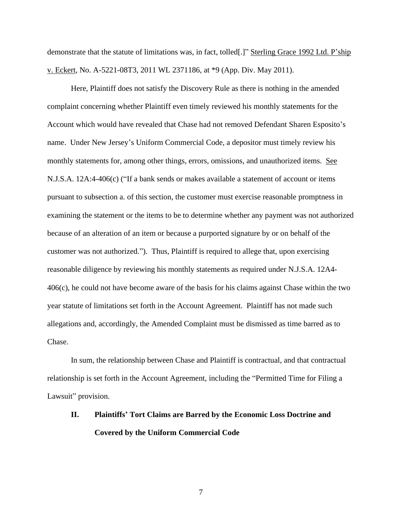demonstrate that the statute of limitations was, in fact, tolled[.]" Sterling Grace 1992 Ltd. P'ship v. Eckert, No. A-5221-08T3, 2011 WL 2371186, at \*9 (App. Div. May 2011).

Here, Plaintiff does not satisfy the Discovery Rule as there is nothing in the amended complaint concerning whether Plaintiff even timely reviewed his monthly statements for the Account which would have revealed that Chase had not removed Defendant Sharen Esposito's name. Under New Jersey's Uniform Commercial Code, a depositor must timely review his monthly statements for, among other things, errors, omissions, and unauthorized items. See N.J.S.A. 12A:4-406(c) ("If a bank sends or makes available a statement of account or items pursuant to subsection a. of this section, the customer must exercise reasonable promptness in examining the statement or the items to be to determine whether any payment was not authorized because of an alteration of an item or because a purported signature by or on behalf of the customer was not authorized."). Thus, Plaintiff is required to allege that, upon exercising reasonable diligence by reviewing his monthly statements as required under N.J.S.A. 12A4- 406(c), he could not have become aware of the basis for his claims against Chase within the two year statute of limitations set forth in the Account Agreement. Plaintiff has not made such allegations and, accordingly, the Amended Complaint must be dismissed as time barred as to Chase.

In sum, the relationship between Chase and Plaintiff is contractual, and that contractual relationship is set forth in the Account Agreement, including the "Permitted Time for Filing a Lawsuit" provision.

# **II. Plaintiffs' Tort Claims are Barred by the Economic Loss Doctrine and Covered by the Uniform Commercial Code**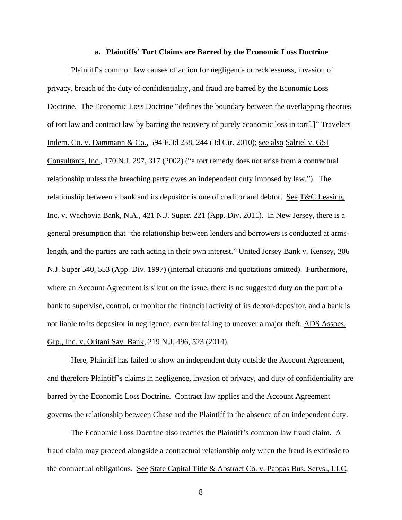## **a. Plaintiffs' Tort Claims are Barred by the Economic Loss Doctrine**

Plaintiff's common law causes of action for negligence or recklessness, invasion of privacy, breach of the duty of confidentiality, and fraud are barred by the Economic Loss Doctrine. The Economic Loss Doctrine "defines the boundary between the overlapping theories of tort law and contract law by barring the recovery of purely economic loss in tort[.]" Travelers Indem. Co. v. Dammann & Co., 594 F.3d 238, 244 (3d Cir. 2010); see also Salriel v. GSI Consultants, Inc., 170 N.J. 297, 317 (2002) ("a tort remedy does not arise from a contractual relationship unless the breaching party owes an independent duty imposed by law."). The relationship between a bank and its depositor is one of creditor and debtor. See T&C Leasing, Inc. v. Wachovia Bank, N.A., 421 N.J. Super. 221 (App. Div. 2011). In New Jersey, there is a general presumption that "the relationship between lenders and borrowers is conducted at armslength, and the parties are each acting in their own interest." United Jersey Bank v. Kensey, 306 N.J. Super 540, 553 (App. Div. 1997) (internal citations and quotations omitted). Furthermore, where an Account Agreement is silent on the issue, there is no suggested duty on the part of a bank to supervise, control, or monitor the financial activity of its debtor-depositor, and a bank is not liable to its depositor in negligence, even for failing to uncover a major theft. ADS Assocs. Grp., Inc. v. Oritani Sav. Bank, 219 N.J. 496, 523 (2014).

Here, Plaintiff has failed to show an independent duty outside the Account Agreement, and therefore Plaintiff's claims in negligence, invasion of privacy, and duty of confidentiality are barred by the Economic Loss Doctrine. Contract law applies and the Account Agreement governs the relationship between Chase and the Plaintiff in the absence of an independent duty.

The Economic Loss Doctrine also reaches the Plaintiff's common law fraud claim. A fraud claim may proceed alongside a contractual relationship only when the fraud is extrinsic to the contractual obligations. See State Capital Title & Abstract Co. v. Pappas Bus. Servs., LLC,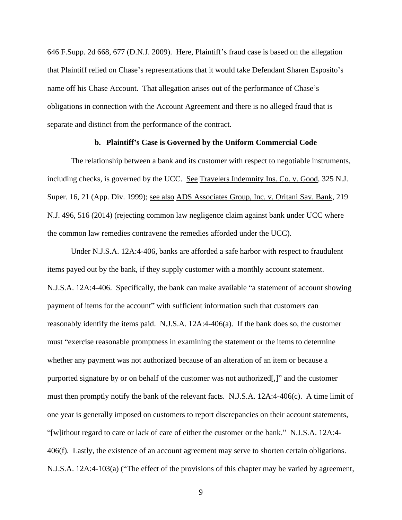646 F.Supp. 2d 668, 677 (D.N.J. 2009). Here, Plaintiff's fraud case is based on the allegation that Plaintiff relied on Chase's representations that it would take Defendant Sharen Esposito's name off his Chase Account. That allegation arises out of the performance of Chase's obligations in connection with the Account Agreement and there is no alleged fraud that is separate and distinct from the performance of the contract.

#### **b. Plaintiff's Case is Governed by the Uniform Commercial Code**

The relationship between a bank and its customer with respect to negotiable instruments, including checks, is governed by the UCC. See Travelers Indemnity Ins. Co. v. Good, 325 N.J. Super. 16, 21 (App. Div. 1999); see also ADS Associates Group, Inc. v. Oritani Sav. Bank, 219 N.J. 496, 516 (2014) (rejecting common law negligence claim against bank under UCC where the common law remedies contravene the remedies afforded under the UCC).

Under N.J.S.A. 12A:4-406, banks are afforded a safe harbor with respect to fraudulent items payed out by the bank, if they supply customer with a monthly account statement. N.J.S.A. 12A:4-406. Specifically, the bank can make available "a statement of account showing payment of items for the account" with sufficient information such that customers can reasonably identify the items paid. N.J.S.A. 12A:4-406(a). If the bank does so, the customer must "exercise reasonable promptness in examining the statement or the items to determine whether any payment was not authorized because of an alteration of an item or because a purported signature by or on behalf of the customer was not authorized[,]" and the customer must then promptly notify the bank of the relevant facts. N.J.S.A. 12A:4-406(c). A time limit of one year is generally imposed on customers to report discrepancies on their account statements, "[w]ithout regard to care or lack of care of either the customer or the bank." N.J.S.A. 12A:4- 406(f). Lastly, the existence of an account agreement may serve to shorten certain obligations. N.J.S.A. 12A:4-103(a) ("The effect of the provisions of this chapter may be varied by agreement,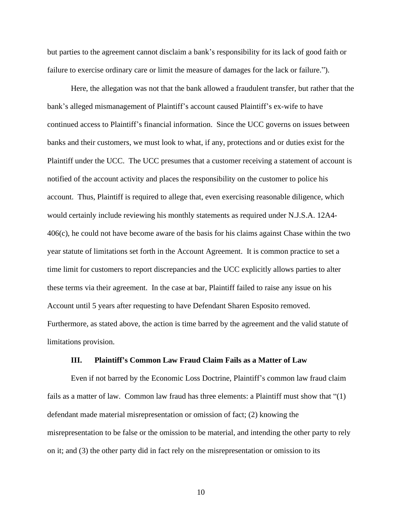but parties to the agreement cannot disclaim a bank's responsibility for its lack of good faith or failure to exercise ordinary care or limit the measure of damages for the lack or failure.").

Here, the allegation was not that the bank allowed a fraudulent transfer, but rather that the bank's alleged mismanagement of Plaintiff's account caused Plaintiff's ex-wife to have continued access to Plaintiff's financial information. Since the UCC governs on issues between banks and their customers, we must look to what, if any, protections and or duties exist for the Plaintiff under the UCC. The UCC presumes that a customer receiving a statement of account is notified of the account activity and places the responsibility on the customer to police his account. Thus, Plaintiff is required to allege that, even exercising reasonable diligence, which would certainly include reviewing his monthly statements as required under N.J.S.A. 12A4- 406(c), he could not have become aware of the basis for his claims against Chase within the two year statute of limitations set forth in the Account Agreement. It is common practice to set a time limit for customers to report discrepancies and the UCC explicitly allows parties to alter these terms via their agreement. In the case at bar, Plaintiff failed to raise any issue on his Account until 5 years after requesting to have Defendant Sharen Esposito removed. Furthermore, as stated above, the action is time barred by the agreement and the valid statute of limitations provision.

#### **III. Plaintiff's Common Law Fraud Claim Fails as a Matter of Law**

Even if not barred by the Economic Loss Doctrine, Plaintiff's common law fraud claim fails as a matter of law. Common law fraud has three elements: a Plaintiff must show that "(1) defendant made material misrepresentation or omission of fact; (2) knowing the misrepresentation to be false or the omission to be material, and intending the other party to rely on it; and (3) the other party did in fact rely on the misrepresentation or omission to its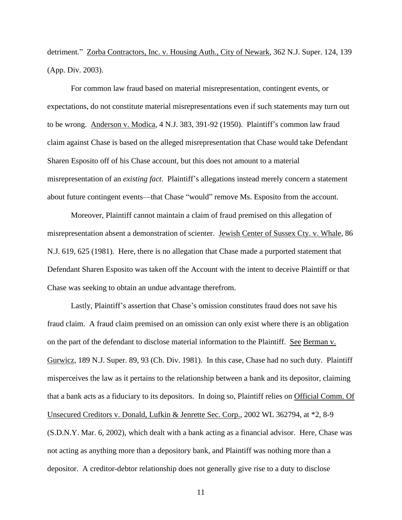detriment." Zorba Contractors, Inc. v. Housing Auth., City of Newark, 362 N.J. Super. 124, 139 (App. Div. 2003).

For common law fraud based on material misrepresentation, contingent events, or expectations, do not constitute material misrepresentations even if such statements may turn out to be wrong. Anderson v. Modica, 4 N.J. 383, 391-92 (1950). Plaintiff's common law fraud claim against Chase is based on the alleged misrepresentation that Chase would take Defendant Sharen Esposito off of his Chase account, but this does not amount to a material misrepresentation of an *existing fact*. Plaintiff's allegations instead merely concern a statement about future contingent events—that Chase "would" remove Ms. Esposito from the account.

Moreover, Plaintiff cannot maintain a claim of fraud premised on this allegation of misrepresentation absent a demonstration of scienter. Jewish Center of Sussex Cty. v. Whale, 86 N.J. 619, 625 (1981). Here, there is no allegation that Chase made a purported statement that Defendant Sharen Esposito was taken off the Account with the intent to deceive Plaintiff or that Chase was seeking to obtain an undue advantage therefrom.

Lastly, Plaintiff's assertion that Chase's omission constitutes fraud does not save his fraud claim. A fraud claim premised on an omission can only exist where there is an obligation on the part of the defendant to disclose material information to the Plaintiff. See Berman v. Gurwicz, 189 N.J. Super. 89, 93 (Ch. Div. 1981). In this case, Chase had no such duty. Plaintiff misperceives the law as it pertains to the relationship between a bank and its depositor, claiming that a bank acts as a fiduciary to its depositors. In doing so, Plaintiff relies on Official Comm. Of Unsecured Creditors v. Donald, Lufkin & Jenrette Sec. Corp., 2002 WL 362794, at \*2, 8-9 (S.D.N.Y. Mar. 6, 2002), which dealt with a bank acting as a financial advisor. Here, Chase was not acting as anything more than a depository bank, and Plaintiff was nothing more than a depositor. A creditor-debtor relationship does not generally give rise to a duty to disclose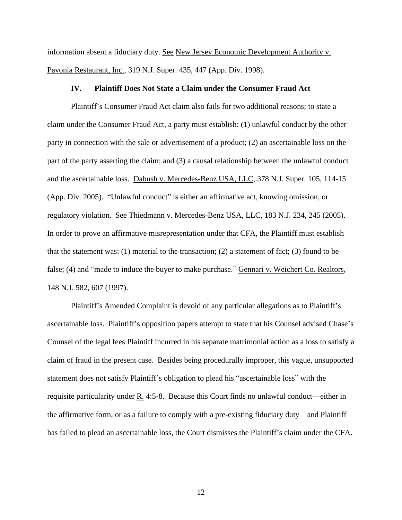information absent a fiduciary duty. See New Jersey Economic Development Authority v. Pavonia Restaurant, Inc., 319 N.J. Super. 435, 447 (App. Div. 1998).

#### **IV. Plaintiff Does Not State a Claim under the Consumer Fraud Act**

Plaintiff's Consumer Fraud Act claim also fails for two additional reasons; to state a claim under the Consumer Fraud Act, a party must establish: (1) unlawful conduct by the other party in connection with the sale or advertisement of a product; (2) an ascertainable loss on the part of the party asserting the claim; and (3) a causal relationship between the unlawful conduct and the ascertainable loss. Dabush v. Mercedes-Benz USA, LLC, 378 N.J. Super. 105, 114-15 (App. Div. 2005). "Unlawful conduct" is either an affirmative act, knowing omission, or regulatory violation. See Thiedmann v. Mercedes-Benz USA, LLC, 183 N.J. 234, 245 (2005). In order to prove an affirmative misrepresentation under that CFA, the Plaintiff must establish that the statement was: (1) material to the transaction; (2) a statement of fact; (3) found to be false; (4) and "made to induce the buyer to make purchase." Gennari v. Weichert Co. Realtors, 148 N.J. 582, 607 (1997).

Plaintiff's Amended Complaint is devoid of any particular allegations as to Plaintiff's ascertainable loss. Plaintiff's opposition papers attempt to state that his Counsel advised Chase's Counsel of the legal fees Plaintiff incurred in his separate matrimonial action as a loss to satisfy a claim of fraud in the present case. Besides being procedurally improper, this vague, unsupported statement does not satisfy Plaintiff's obligation to plead his "ascertainable loss" with the requisite particularity under R. 4:5-8. Because this Court finds no unlawful conduct—either in the affirmative form, or as a failure to comply with a pre-existing fiduciary duty—and Plaintiff has failed to plead an ascertainable loss, the Court dismisses the Plaintiff's claim under the CFA.